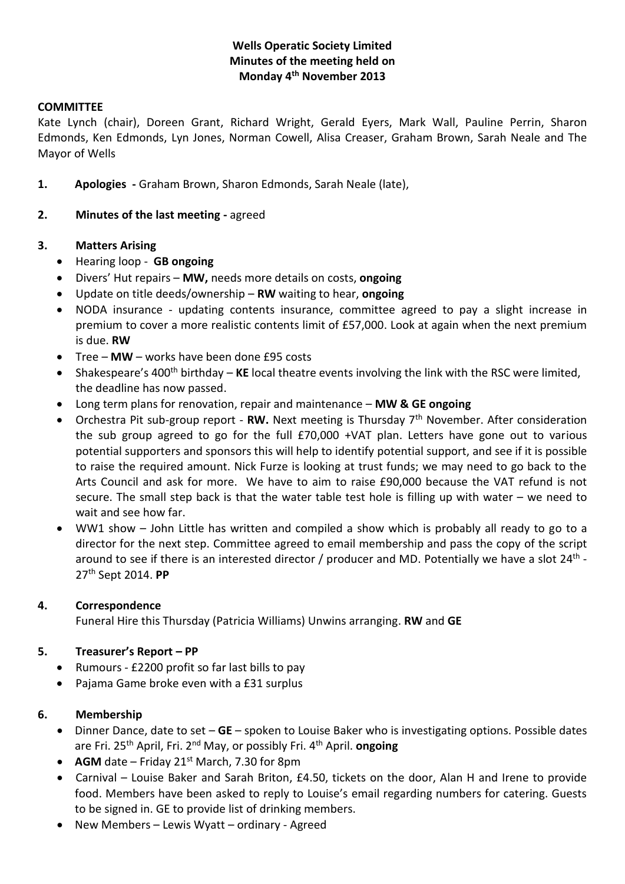# **Wells Operatic Society Limited Minutes of the meeting held on Monday 4th November 2013**

#### **COMMITTEE**

Kate Lynch (chair), Doreen Grant, Richard Wright, Gerald Eyers, Mark Wall, Pauline Perrin, Sharon Edmonds, Ken Edmonds, Lyn Jones, Norman Cowell, Alisa Creaser, Graham Brown, Sarah Neale and The Mayor of Wells

- **1. Apologies -** Graham Brown, Sharon Edmonds, Sarah Neale (late),
- **2. Minutes of the last meeting -** agreed

#### **3. Matters Arising**

- Hearing loop **GB ongoing**
- Divers' Hut repairs **MW,** needs more details on costs, **ongoing**
- Update on title deeds/ownership **RW** waiting to hear, **ongoing**
- NODA insurance updating contents insurance, committee agreed to pay a slight increase in premium to cover a more realistic contents limit of £57,000. Look at again when the next premium is due. **RW**
- Tree **MW**  works have been done £95 costs
- Shakespeare's 400<sup>th</sup> birthday KE local theatre events involving the link with the RSC were limited, the deadline has now passed.
- Long term plans for renovation, repair and maintenance **MW & GE ongoing**
- Orchestra Pit sub-group report **RW.** Next meeting is Thursday 7th November. After consideration the sub group agreed to go for the full £70,000 +VAT plan. Letters have gone out to various potential supporters and sponsors this will help to identify potential support, and see if it is possible to raise the required amount. Nick Furze is looking at trust funds; we may need to go back to the Arts Council and ask for more. We have to aim to raise £90,000 because the VAT refund is not secure. The small step back is that the water table test hole is filling up with water – we need to wait and see how far.
- WW1 show John Little has written and compiled a show which is probably all ready to go to a director for the next step. Committee agreed to email membership and pass the copy of the script around to see if there is an interested director / producer and MD. Potentially we have a slot 24<sup>th</sup> -27th Sept 2014. **PP**

#### **4. Correspondence**

Funeral Hire this Thursday (Patricia Williams) Unwins arranging. **RW** and **GE**

#### **5. Treasurer's Report – PP**

- Rumours £2200 profit so far last bills to pay
- Pajama Game broke even with a £31 surplus

#### **6. Membership**

- Dinner Dance, date to set **GE** spoken to Louise Baker who is investigating options. Possible dates are Fri. 25<sup>th</sup> April, Fri. 2<sup>nd</sup> May, or possibly Fri. 4<sup>th</sup> April. **ongoing**
- AGM date Friday 21<sup>st</sup> March, 7.30 for 8pm
- Carnival Louise Baker and Sarah Briton, £4.50, tickets on the door, Alan H and Irene to provide food. Members have been asked to reply to Louise's email regarding numbers for catering. Guests to be signed in. GE to provide list of drinking members.
- New Members Lewis Wyatt ordinary Agreed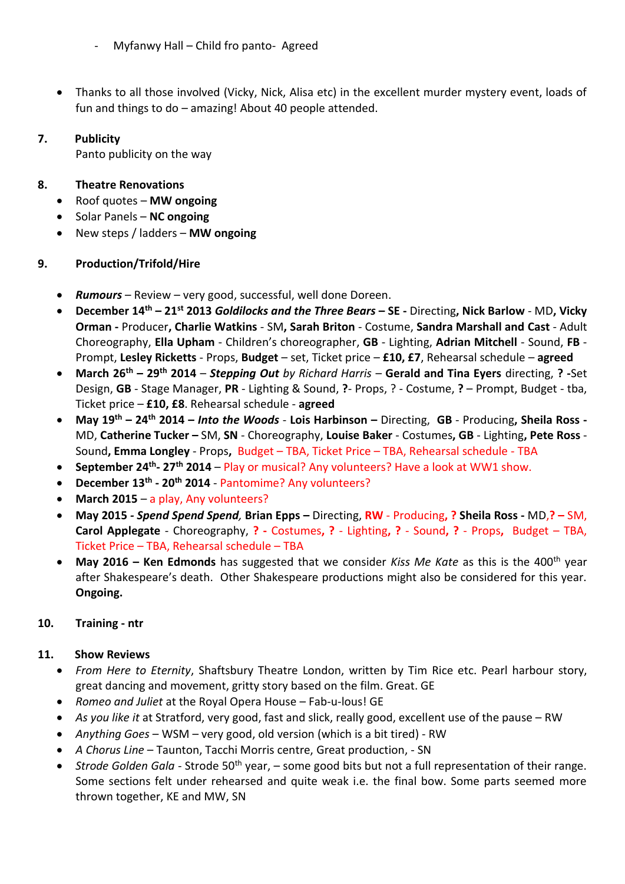- Myfanwy Hall Child fro panto- Agreed
- Thanks to all those involved (Vicky, Nick, Alisa etc) in the excellent murder mystery event, loads of fun and things to do – amazing! About 40 people attended.

## **7. Publicity**

Panto publicity on the way

# **8. Theatre Renovations**

- Roof quotes **MW ongoing**
- Solar Panels **NC ongoing**
- New steps / ladders **MW ongoing**

# **9. Production/Trifold/Hire**

- *Rumours* Review very good, successful, well done Doreen.
- **December 14th – 21st 2013** *Goldilocks and the Three Bears* **– SE -** Directing**, Nick Barlow** MD**, Vicky Orman -** Producer**, Charlie Watkins** - SM**, Sarah Briton** - Costume, **Sandra Marshall and Cast** - Adult Choreography, **Ella Upham** - Children's choreographer, **GB** - Lighting, **Adrian Mitchell** - Sound, **FB** - Prompt, **Lesley Ricketts** - Props, **Budget** – set, Ticket price – **£10, £7**, Rehearsal schedule – **agreed**
- **March 26th – 29th 2014** *Stepping Out by Richard Harris*  **Gerald and Tina Eyers** directing, **? -**Set Design, **GB** - Stage Manager, **PR** - Lighting & Sound, **?**- Props, ? - Costume, **?** – Prompt, Budget - tba, Ticket price – **£10, £8**. Rehearsal schedule - **agreed**
- **May 19th – 24th 2014 –** *Into the Woods* **Lois Harbinson –** Directing, **GB** Producing**, Sheila Ross -** MD, **Catherine Tucker –** SM, **SN** - Choreography, **Louise Baker** - Costumes**, GB** - Lighting**, Pete Ross** - Sound**, Emma Longley** - Props**,** Budget – TBA, Ticket Price – TBA, Rehearsal schedule - TBA
- **September 24th - 27th 2014** Play or musical? Any volunteers? Have a look at WW1 show.
- **December 13th - 20th 2014** Pantomime? Any volunteers?
- **March 2015** a play, Any volunteers?
- **May 2015** *- Spend Spend Spend,* **Brian Epps –** Directing, **RW** Producing**, ? Sheila Ross -** MD,**? –** SM, **Carol Applegate** - Choreography, **? -** Costumes**, ?** - Lighting**, ?** - Sound**, ?** - Props**,** Budget – TBA, Ticket Price – TBA, Rehearsal schedule – TBA
- **May 2016 Ken Edmonds** has suggested that we consider *Kiss Me Kate* as this is the 400<sup>th</sup> year after Shakespeare's death. Other Shakespeare productions might also be considered for this year. **Ongoing.**

### **10. Training - ntr**

### **11. Show Reviews**

- *From Here to Eternity*, Shaftsbury Theatre London, written by Tim Rice etc. Pearl harbour story, great dancing and movement, gritty story based on the film. Great. GE
- *Romeo and Juliet* at the Royal Opera House Fab-u-lous! GE
- *As you like it* at Stratford, very good, fast and slick, really good, excellent use of the pause RW
- *Anything Goes*  WSM very good, old version (which is a bit tired) RW
- *A Chorus Line* Taunton, Tacchi Morris centre, Great production, SN
- *Strode Golden Gala* Strode 50<sup>th</sup> year, some good bits but not a full representation of their range. Some sections felt under rehearsed and quite weak i.e. the final bow. Some parts seemed more thrown together, KE and MW, SN